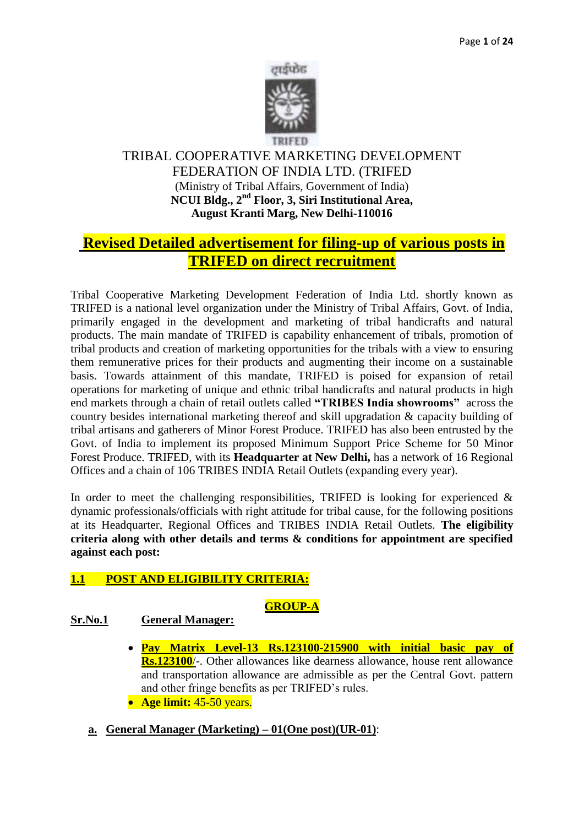

# TRIBAL COOPERATIVE MARKETING DEVELOPMENT FEDERATION OF INDIA LTD. (TRIFED (Ministry of Tribal Affairs, Government of India) **NCUI Bldg., 2nd Floor, 3, Siri Institutional Area, August Kranti Marg, New Delhi-110016**

# **Revised Detailed advertisement for filing-up of various posts in TRIFED on direct recruitment**

Tribal Cooperative Marketing Development Federation of India Ltd. shortly known as TRIFED is a national level organization under the Ministry of Tribal Affairs, Govt. of India, primarily engaged in the development and marketing of tribal handicrafts and natural products. The main mandate of TRIFED is capability enhancement of tribals, promotion of tribal products and creation of marketing opportunities for the tribals with a view to ensuring them remunerative prices for their products and augmenting their income on a sustainable basis. Towards attainment of this mandate, TRIFED is poised for expansion of retail operations for marketing of unique and ethnic tribal handicrafts and natural products in high end markets through a chain of retail outlets called **"TRIBES India showrooms"** across the country besides international marketing thereof and skill upgradation & capacity building of tribal artisans and gatherers of Minor Forest Produce. TRIFED has also been entrusted by the Govt. of India to implement its proposed Minimum Support Price Scheme for 50 Minor Forest Produce. TRIFED, with its **Headquarter at New Delhi,** has a network of 16 Regional Offices and a chain of 106 TRIBES INDIA Retail Outlets (expanding every year).

In order to meet the challenging responsibilities, TRIFED is looking for experienced  $\&$ dynamic professionals/officials with right attitude for tribal cause, for the following positions at its Headquarter, Regional Offices and TRIBES INDIA Retail Outlets. **The eligibility criteria along with other details and terms & conditions for appointment are specified against each post:**

# **1.1 POST AND ELIGIBILITY CRITERIA:**

# **GROUP-A**

# **Sr.No.1 General Manager:**

- **Pay Matrix Level-13 Rs.123100-215900 with initial basic pay of Rs.123100**/-. Other allowances like dearness allowance, house rent allowance and transportation allowance are admissible as per the Central Govt. pattern and other fringe benefits as per TRIFED's rules.
- **Age limit:** 45-50 years.
- **a. General Manager (Marketing) – 01(One post)(UR-01)**: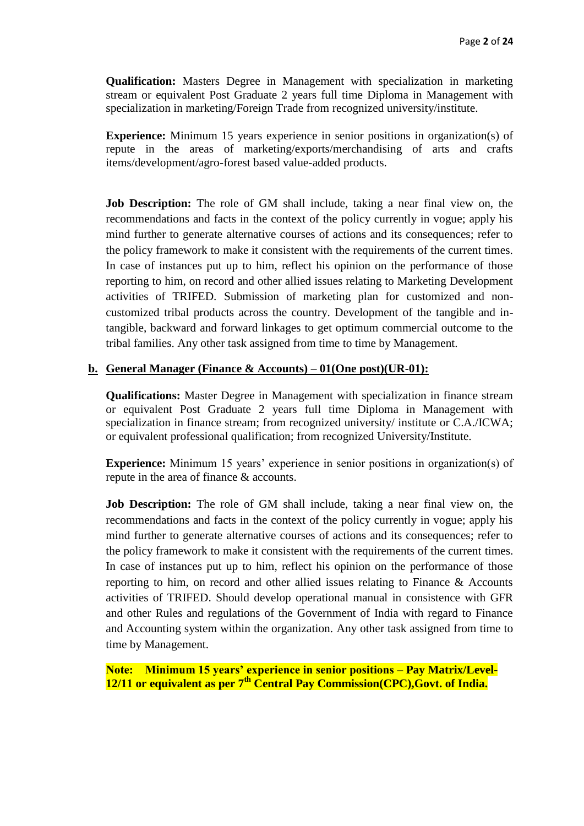**Qualification:** Masters Degree in Management with specialization in marketing stream or equivalent Post Graduate 2 years full time Diploma in Management with specialization in marketing/Foreign Trade from recognized university/institute.

**Experience:** Minimum 15 years experience in senior positions in organization(s) of repute in the areas of marketing/exports/merchandising of arts and crafts items/development/agro-forest based value-added products.

**Job Description:** The role of GM shall include, taking a near final view on, the recommendations and facts in the context of the policy currently in vogue; apply his mind further to generate alternative courses of actions and its consequences; refer to the policy framework to make it consistent with the requirements of the current times. In case of instances put up to him, reflect his opinion on the performance of those reporting to him, on record and other allied issues relating to Marketing Development activities of TRIFED. Submission of marketing plan for customized and noncustomized tribal products across the country. Development of the tangible and intangible, backward and forward linkages to get optimum commercial outcome to the tribal families. Any other task assigned from time to time by Management.

#### **b. General Manager (Finance & Accounts) – 01(One post)(UR-01):**

**Qualifications:** Master Degree in Management with specialization in finance stream or equivalent Post Graduate 2 years full time Diploma in Management with specialization in finance stream; from recognized university/ institute or C.A./ICWA; or equivalent professional qualification; from recognized University/Institute.

**Experience:** Minimum 15 years' experience in senior positions in organization(s) of repute in the area of finance & accounts.

**Job Description:** The role of GM shall include, taking a near final view on, the recommendations and facts in the context of the policy currently in vogue; apply his mind further to generate alternative courses of actions and its consequences; refer to the policy framework to make it consistent with the requirements of the current times. In case of instances put up to him, reflect his opinion on the performance of those reporting to him, on record and other allied issues relating to Finance & Accounts activities of TRIFED. Should develop operational manual in consistence with GFR and other Rules and regulations of the Government of India with regard to Finance and Accounting system within the organization. Any other task assigned from time to time by Management.

**Note: Minimum 15 years' experience in senior positions – Pay Matrix/Level-12/11 or equivalent as per 7th Central Pay Commission(CPC),Govt. of India.**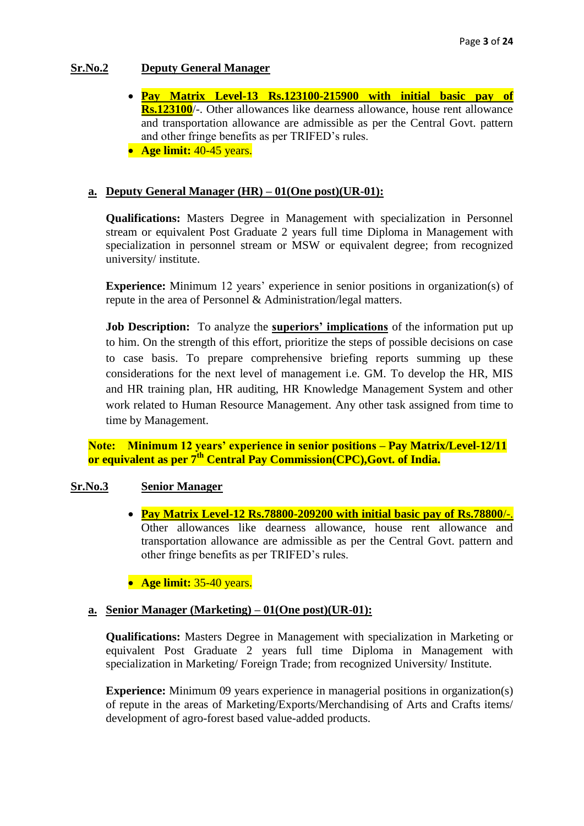# **Sr.No.2 Deputy General Manager**

- **Pay Matrix Level-13 Rs.123100-215900 with initial basic pay of Rs.123100**/-. Other allowances like dearness allowance, house rent allowance and transportation allowance are admissible as per the Central Govt. pattern and other fringe benefits as per TRIFED's rules.
- **Age limit:** 40-45 years.

# **a. Deputy General Manager (HR) – 01(One post)(UR-01):**

**Qualifications:** Masters Degree in Management with specialization in Personnel stream or equivalent Post Graduate 2 years full time Diploma in Management with specialization in personnel stream or MSW or equivalent degree; from recognized university/ institute.

**Experience:** Minimum 12 years' experience in senior positions in organization(s) of repute in the area of Personnel & Administration/legal matters.

**Job Description:** To analyze the **superiors' implications** of the information put up to him. On the strength of this effort, prioritize the steps of possible decisions on case to case basis. To prepare comprehensive briefing reports summing up these considerations for the next level of management i.e. GM. To develop the HR, MIS and HR training plan, HR auditing, HR Knowledge Management System and other work related to Human Resource Management. Any other task assigned from time to time by Management.

**Note: Minimum 12 years' experience in senior positions – Pay Matrix/Level-12/11 or equivalent as per 7th Central Pay Commission(CPC),Govt. of India.**

### **Sr.No.3 Senior Manager**

 **Pay Matrix Level-12 Rs.78800-209200 with initial basic pay of Rs.78800**/-. Other allowances like dearness allowance, house rent allowance and transportation allowance are admissible as per the Central Govt. pattern and other fringe benefits as per TRIFED's rules.

**• Age limit:** 35-40 years.

### **a. Senior Manager (Marketing) – 01(One post)(UR-01):**

**Qualifications:** Masters Degree in Management with specialization in Marketing or equivalent Post Graduate 2 years full time Diploma in Management with specialization in Marketing/ Foreign Trade; from recognized University/ Institute.

**Experience:** Minimum 09 years experience in managerial positions in organization(s) of repute in the areas of Marketing/Exports/Merchandising of Arts and Crafts items/ development of agro-forest based value-added products.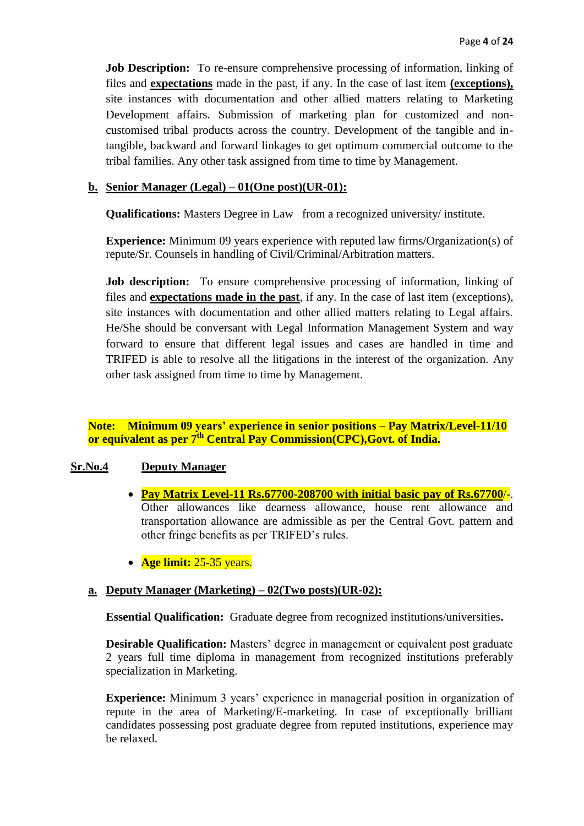**Job Description:** To re-ensure comprehensive processing of information, linking of files and **expectations** made in the past, if any. In the case of last item **(exceptions),** site instances with documentation and other allied matters relating to Marketing Development affairs. Submission of marketing plan for customized and noncustomised tribal products across the country. Development of the tangible and intangible, backward and forward linkages to get optimum commercial outcome to the tribal families. Any other task assigned from time to time by Management.

#### **b. Senior Manager (Legal) – 01(One post)(UR-01):**

**Qualifications:** Masters Degree in Law from a recognized university/ institute.

**Experience:** Minimum 09 years experience with reputed law firms/Organization(s) of repute/Sr. Counsels in handling of Civil/Criminal/Arbitration matters.

**Job description:** To ensure comprehensive processing of information, linking of files and **expectations made in the past**, if any. In the case of last item (exceptions), site instances with documentation and other allied matters relating to Legal affairs. He/She should be conversant with Legal Information Management System and way forward to ensure that different legal issues and cases are handled in time and TRIFED is able to resolve all the litigations in the interest of the organization. Any other task assigned from time to time by Management.

**Note: Minimum 09 years' experience in senior positions – Pay Matrix/Level-11/10 or equivalent as per 7th Central Pay Commission(CPC),Govt. of India.**

#### **Sr.No.4 Deputy Manager**

- **Pay Matrix Level-11 Rs.67700-208700 with initial basic pay of Rs.67700**/-. Other allowances like dearness allowance, house rent allowance and transportation allowance are admissible as per the Central Govt. pattern and other fringe benefits as per TRIFED's rules.
- **Age limit:** 25-35 years.

#### **a. Deputy Manager (Marketing) – 02(Two posts)(UR-02):**

**Essential Qualification:** Graduate degree from recognized institutions/universities**.**

**Desirable Qualification:** Masters' degree in management or equivalent post graduate 2 years full time diploma in management from recognized institutions preferably specialization in Marketing.

**Experience:** Minimum 3 years' experience in managerial position in organization of repute in the area of Marketing/E-marketing. In case of exceptionally brilliant candidates possessing post graduate degree from reputed institutions, experience may be relaxed.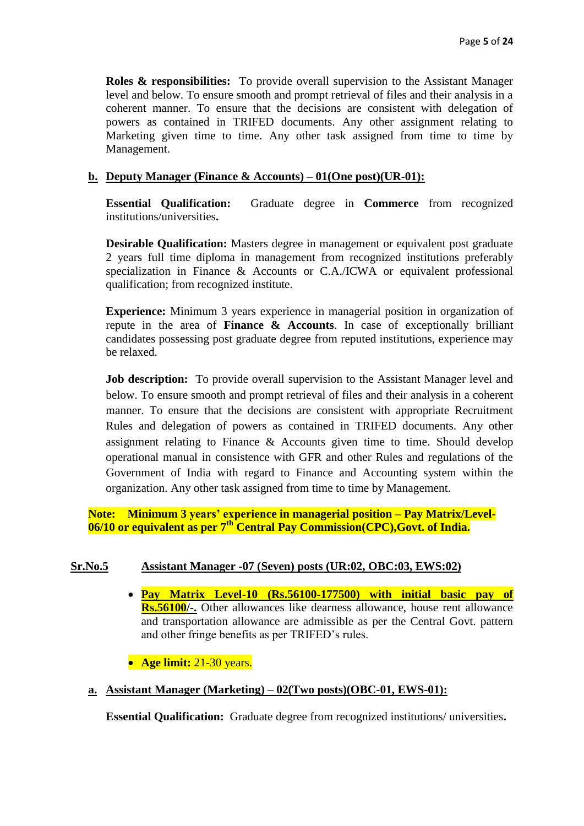**Roles & responsibilities:** To provide overall supervision to the Assistant Manager level and below. To ensure smooth and prompt retrieval of files and their analysis in a coherent manner. To ensure that the decisions are consistent with delegation of powers as contained in TRIFED documents. Any other assignment relating to Marketing given time to time. Any other task assigned from time to time by Management.

#### **b. Deputy Manager (Finance & Accounts) – 01(One post)(UR-01):**

**Essential Qualification:** Graduate degree in **Commerce** from recognized institutions/universities**.**

**Desirable Qualification:** Masters degree in management or equivalent post graduate 2 years full time diploma in management from recognized institutions preferably specialization in Finance & Accounts or C.A./ICWA or equivalent professional qualification; from recognized institute.

**Experience:** Minimum 3 years experience in managerial position in organization of repute in the area of **Finance & Accounts**. In case of exceptionally brilliant candidates possessing post graduate degree from reputed institutions, experience may be relaxed.

**Job description:** To provide overall supervision to the Assistant Manager level and below. To ensure smooth and prompt retrieval of files and their analysis in a coherent manner. To ensure that the decisions are consistent with appropriate Recruitment Rules and delegation of powers as contained in TRIFED documents. Any other assignment relating to Finance & Accounts given time to time. Should develop operational manual in consistence with GFR and other Rules and regulations of the Government of India with regard to Finance and Accounting system within the organization. Any other task assigned from time to time by Management.

**Note: Minimum 3 years' experience in managerial position – Pay Matrix/Level-06/10 or equivalent as per 7th Central Pay Commission(CPC),Govt. of India.**

### **Sr.No.5 Assistant Manager -07 (Seven) posts (UR:02, OBC:03, EWS:02)**

- **Pay Matrix Level-10 (Rs.56100-177500) with initial basic pay of Rs.56100/-.** Other allowances like dearness allowance, house rent allowance and transportation allowance are admissible as per the Central Govt. pattern and other fringe benefits as per TRIFED's rules.
- **Age limit:** 21-30 years.

#### **a. Assistant Manager (Marketing) – 02(Two posts)(OBC-01, EWS-01):**

**Essential Qualification:** Graduate degree from recognized institutions/ universities**.**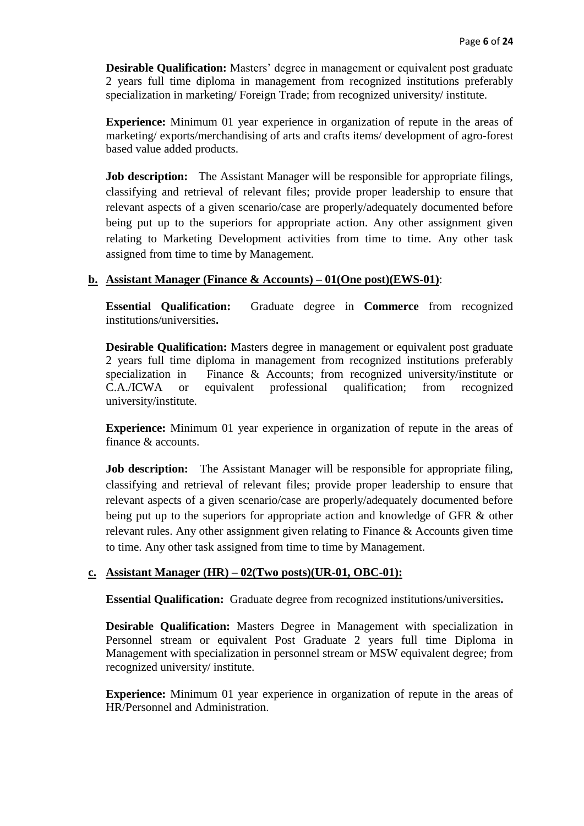**Desirable Qualification:** Masters' degree in management or equivalent post graduate 2 years full time diploma in management from recognized institutions preferably specialization in marketing/ Foreign Trade; from recognized university/ institute.

**Experience:** Minimum 01 year experience in organization of repute in the areas of marketing/ exports/merchandising of arts and crafts items/ development of agro-forest based value added products.

**Job description:** The Assistant Manager will be responsible for appropriate filings, classifying and retrieval of relevant files; provide proper leadership to ensure that relevant aspects of a given scenario/case are properly/adequately documented before being put up to the superiors for appropriate action. Any other assignment given relating to Marketing Development activities from time to time. Any other task assigned from time to time by Management.

### **b. Assistant Manager (Finance & Accounts) – 01(One post)(EWS-01)**:

**Essential Qualification:** Graduate degree in **Commerce** from recognized institutions/universities**.** 

**Desirable Qualification:** Masters degree in management or equivalent post graduate 2 years full time diploma in management from recognized institutions preferably specialization in Finance & Accounts; from recognized university/institute or C.A./ICWA or equivalent professional qualification; from recognized university/institute.

**Experience:** Minimum 01 year experience in organization of repute in the areas of finance & accounts.

**Job description:** The Assistant Manager will be responsible for appropriate filing, classifying and retrieval of relevant files; provide proper leadership to ensure that relevant aspects of a given scenario/case are properly/adequately documented before being put up to the superiors for appropriate action and knowledge of GFR & other relevant rules. Any other assignment given relating to Finance & Accounts given time to time. Any other task assigned from time to time by Management.

### **c. Assistant Manager (HR) – 02(Two posts)(UR-01, OBC-01):**

**Essential Qualification:** Graduate degree from recognized institutions/universities**.** 

**Desirable Qualification:** Masters Degree in Management with specialization in Personnel stream or equivalent Post Graduate 2 years full time Diploma in Management with specialization in personnel stream or MSW equivalent degree; from recognized university/ institute.

**Experience:** Minimum 01 year experience in organization of repute in the areas of HR/Personnel and Administration.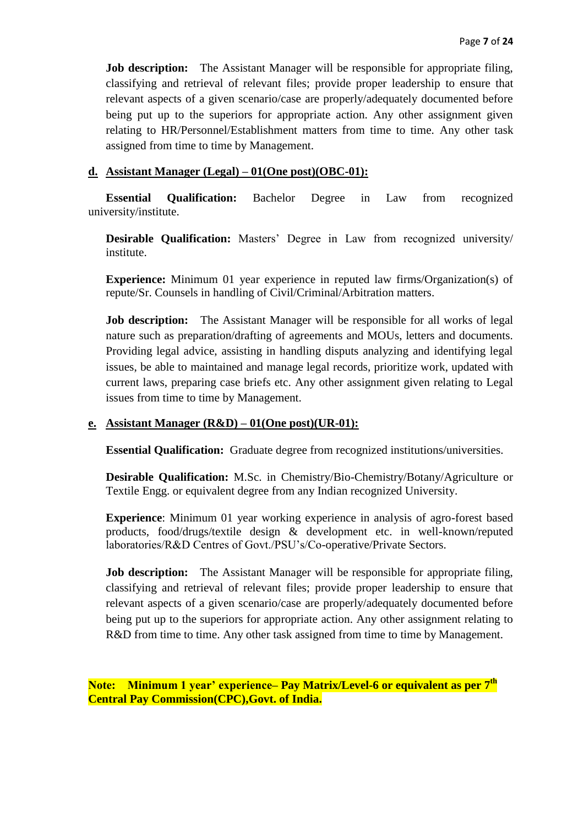**Job description:** The Assistant Manager will be responsible for appropriate filing, classifying and retrieval of relevant files; provide proper leadership to ensure that relevant aspects of a given scenario/case are properly/adequately documented before being put up to the superiors for appropriate action. Any other assignment given relating to HR/Personnel/Establishment matters from time to time. Any other task assigned from time to time by Management.

#### **d. Assistant Manager (Legal) – 01(One post)(OBC-01):**

**Essential Qualification:** Bachelor Degree in Law from recognized university/institute.

**Desirable Qualification:** Masters' Degree in Law from recognized university/ institute.

**Experience:** Minimum 01 year experience in reputed law firms/Organization(s) of repute/Sr. Counsels in handling of Civil/Criminal/Arbitration matters.

**Job description:** The Assistant Manager will be responsible for all works of legal nature such as preparation/drafting of agreements and MOUs, letters and documents. Providing legal advice, assisting in handling disputs analyzing and identifying legal issues, be able to maintained and manage legal records, prioritize work, updated with current laws, preparing case briefs etc. Any other assignment given relating to Legal issues from time to time by Management.

#### **e. Assistant Manager (R&D) – 01(One post)(UR-01):**

**Essential Qualification:** Graduate degree from recognized institutions/universities.

**Desirable Qualification:** M.Sc. in Chemistry/Bio-Chemistry/Botany/Agriculture or Textile Engg. or equivalent degree from any Indian recognized University.

**Experience**: Minimum 01 year working experience in analysis of agro-forest based products, food/drugs/textile design & development etc. in well-known/reputed laboratories/R&D Centres of Govt./PSU's/Co-operative/Private Sectors.

**Job description:** The Assistant Manager will be responsible for appropriate filing, classifying and retrieval of relevant files; provide proper leadership to ensure that relevant aspects of a given scenario/case are properly/adequately documented before being put up to the superiors for appropriate action. Any other assignment relating to R&D from time to time. Any other task assigned from time to time by Management.

**Note: Minimum 1 year' experience– Pay Matrix/Level-6 or equivalent as per 7th Central Pay Commission(CPC),Govt. of India.**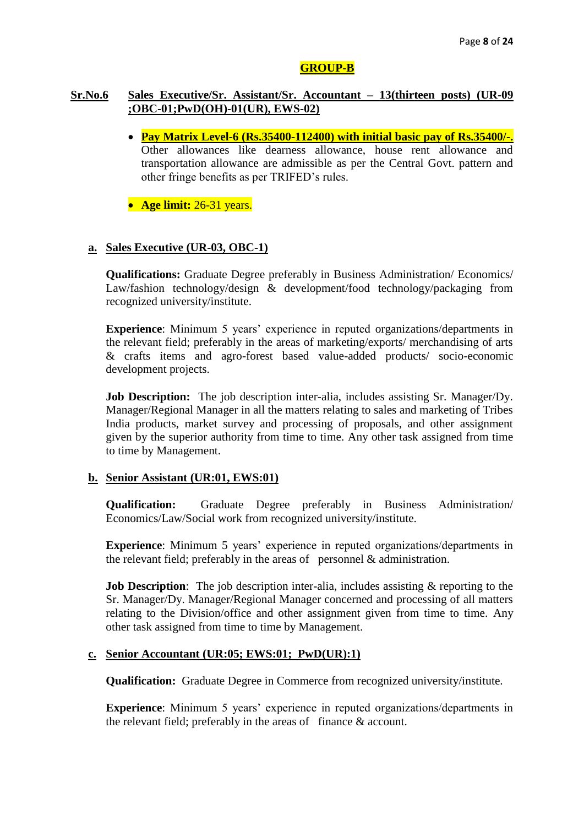### **GROUP-B**

# **Sr.No.6 Sales Executive/Sr. Assistant/Sr. Accountant – 13(thirteen posts) (UR-09 ;OBC-01;PwD(OH)-01(UR), EWS-02)**

- **Pay Matrix Level-6 (Rs.35400-112400) with initial basic pay of Rs.35400/-.** Other allowances like dearness allowance, house rent allowance and transportation allowance are admissible as per the Central Govt. pattern and other fringe benefits as per TRIFED's rules.
- **Age limit:** 26-31 years.

# **a. Sales Executive (UR-03, OBC-1)**

**Qualifications:** Graduate Degree preferably in Business Administration/ Economics/ Law/fashion technology/design & development/food technology/packaging from recognized university/institute.

**Experience**: Minimum 5 years' experience in reputed organizations/departments in the relevant field; preferably in the areas of marketing/exports/ merchandising of arts & crafts items and agro-forest based value-added products/ socio-economic development projects.

**Job Description:** The job description inter-alia, includes assisting Sr. Manager/Dy. Manager/Regional Manager in all the matters relating to sales and marketing of Tribes India products, market survey and processing of proposals, and other assignment given by the superior authority from time to time. Any other task assigned from time to time by Management.

### **b. Senior Assistant (UR:01, EWS:01)**

**Qualification:** Graduate Degree preferably in Business Administration/ Economics/Law/Social work from recognized university/institute.

**Experience**: Minimum 5 years' experience in reputed organizations/departments in the relevant field; preferably in the areas of personnel  $&$  administration.

**Job Description**: The job description inter-alia, includes assisting & reporting to the Sr. Manager/Dy. Manager/Regional Manager concerned and processing of all matters relating to the Division/office and other assignment given from time to time. Any other task assigned from time to time by Management.

#### **c. Senior Accountant (UR:05; EWS:01; PwD(UR):1)**

**Qualification:** Graduate Degree in Commerce from recognized university/institute.

**Experience**: Minimum 5 years' experience in reputed organizations/departments in the relevant field; preferably in the areas of finance  $\&$  account.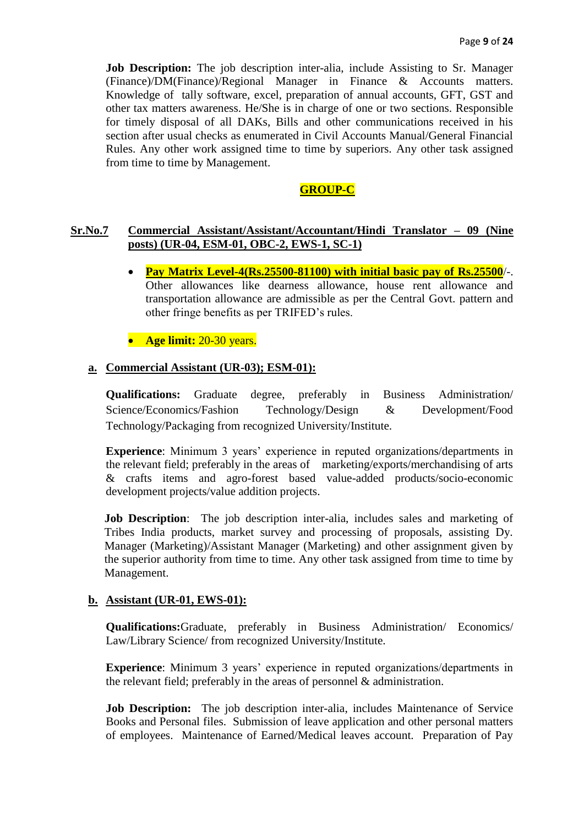**Job Description:** The job description inter-alia, include Assisting to Sr. Manager (Finance)/DM(Finance)/Regional Manager in Finance & Accounts matters. Knowledge of tally software, excel, preparation of annual accounts, GFT, GST and other tax matters awareness. He/She is in charge of one or two sections. Responsible for timely disposal of all DAKs, Bills and other communications received in his section after usual checks as enumerated in Civil Accounts Manual/General Financial Rules. Any other work assigned time to time by superiors. Any other task assigned from time to time by Management.

# **GROUP-C**

# **Sr.No.7 Commercial Assistant/Assistant/Accountant/Hindi Translator – 09 (Nine posts) (UR-04, ESM-01, OBC-2, EWS-1, SC-1)**

 **Pay Matrix Level-4(Rs.25500-81100) with initial basic pay of Rs.25500**/-. Other allowances like dearness allowance, house rent allowance and transportation allowance are admissible as per the Central Govt. pattern and other fringe benefits as per TRIFED's rules.

**Age limit:** 20-30 years.

#### **a. Commercial Assistant (UR-03); ESM-01):**

**Qualifications:** Graduate degree, preferably in Business Administration/ Science/Economics/Fashion Technology/Design & Development/Food Technology/Packaging from recognized University/Institute.

**Experience**: Minimum 3 years' experience in reputed organizations/departments in the relevant field; preferably in the areas of marketing/exports/merchandising of arts & crafts items and agro-forest based value-added products/socio-economic development projects/value addition projects.

**Job Description**: The job description inter-alia, includes sales and marketing of Tribes India products, market survey and processing of proposals, assisting Dy. Manager (Marketing)/Assistant Manager (Marketing) and other assignment given by the superior authority from time to time. Any other task assigned from time to time by Management.

#### **b. Assistant (UR-01, EWS-01):**

**Qualifications:**Graduate, preferably in Business Administration/ Economics/ Law/Library Science/ from recognized University/Institute.

**Experience**: Minimum 3 years' experience in reputed organizations/departments in the relevant field; preferably in the areas of personnel & administration.

**Job Description:** The job description inter-alia, includes Maintenance of Service Books and Personal files. Submission of leave application and other personal matters of employees. Maintenance of Earned/Medical leaves account. Preparation of Pay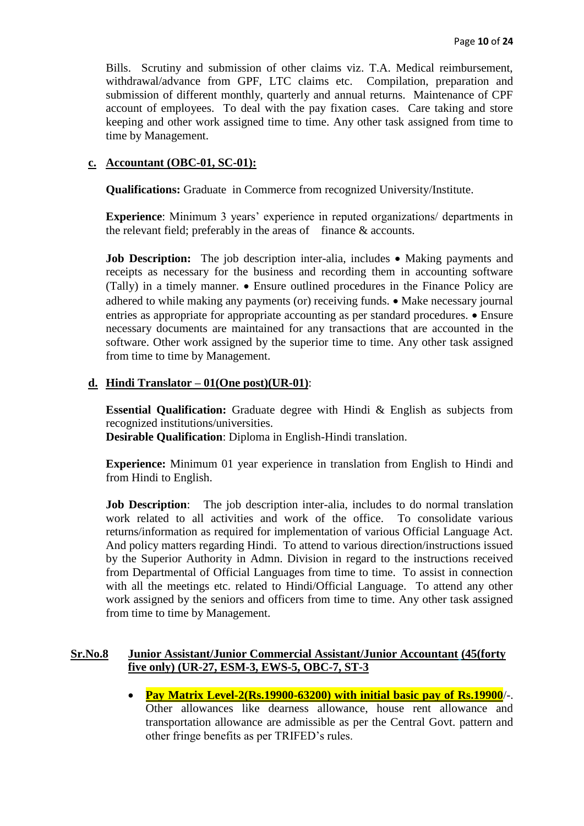Bills. Scrutiny and submission of other claims viz. T.A. Medical reimbursement, withdrawal/advance from GPF, LTC claims etc. Compilation, preparation and submission of different monthly, quarterly and annual returns. Maintenance of CPF account of employees. To deal with the pay fixation cases. Care taking and store keeping and other work assigned time to time. Any other task assigned from time to time by Management.

### **c. Accountant (OBC-01, SC-01):**

**Qualifications:** Graduate in Commerce from recognized University/Institute.

**Experience**: Minimum 3 years' experience in reputed organizations/ departments in the relevant field; preferably in the areas of finance  $\&$  accounts.

**Job Description:** The job description inter-alia, includes • Making payments and receipts as necessary for the business and recording them in accounting software (Tally) in a timely manner.  $\bullet$  Ensure outlined procedures in the Finance Policy are adhered to while making any payments (or) receiving funds.  $\bullet$  Make necessary journal entries as appropriate for appropriate accounting as per standard procedures.  $\bullet$  Ensure necessary documents are maintained for any transactions that are accounted in the software. Other work assigned by the superior time to time. Any other task assigned from time to time by Management.

# **d. Hindi Translator – 01(One post)(UR-01)**:

**Essential Qualification:** Graduate degree with Hindi & English as subjects from recognized institutions/universities.

**Desirable Qualification**: Diploma in English-Hindi translation.

**Experience:** Minimum 01 year experience in translation from English to Hindi and from Hindi to English.

**Job Description:** The job description inter-alia, includes to do normal translation work related to all activities and work of the office. To consolidate various returns/information as required for implementation of various Official Language Act. And policy matters regarding Hindi. To attend to various direction/instructions issued by the Superior Authority in Admn. Division in regard to the instructions received from Departmental of Official Languages from time to time. To assist in connection with all the meetings etc. related to Hindi/Official Language. To attend any other work assigned by the seniors and officers from time to time. Any other task assigned from time to time by Management.

### **Sr.No.8 Junior Assistant/Junior Commercial Assistant/Junior Accountant (45(forty five only) (UR-27, ESM-3, EWS-5, OBC-7, ST-3**

 **Pay Matrix Level-2(Rs.19900-63200) with initial basic pay of Rs.19900**/-. Other allowances like dearness allowance, house rent allowance and transportation allowance are admissible as per the Central Govt. pattern and other fringe benefits as per TRIFED's rules.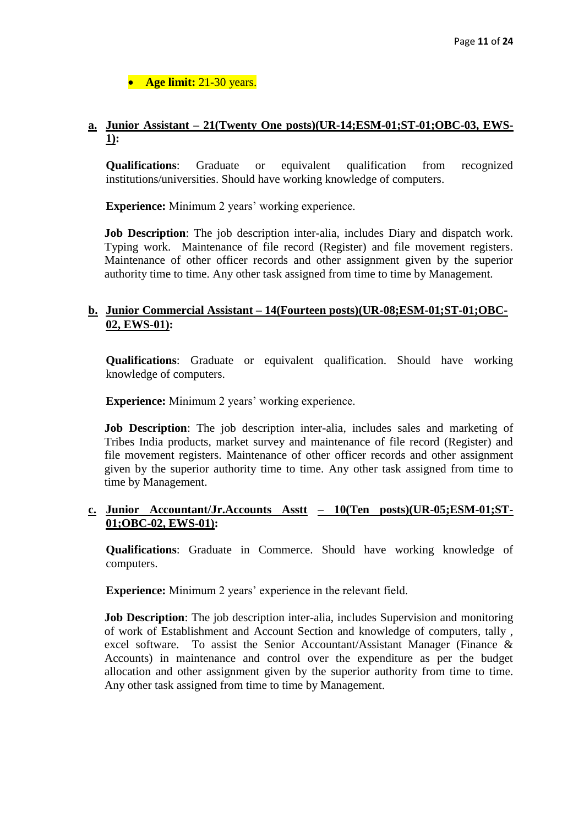**Age limit:** 21-30 years.

# **a. Junior Assistant – 21(Twenty One posts)(UR-14;ESM-01;ST-01;OBC-03, EWS-1):**

**Qualifications**: Graduate or equivalent qualification from recognized institutions/universities. Should have working knowledge of computers.

**Experience:** Minimum 2 years' working experience.

**Job Description**: The job description inter-alia, includes Diary and dispatch work. Typing work. Maintenance of file record (Register) and file movement registers. Maintenance of other officer records and other assignment given by the superior authority time to time. Any other task assigned from time to time by Management.

# **b. Junior Commercial Assistant – 14(Fourteen posts)(UR-08;ESM-01;ST-01;OBC-02, EWS-01):**

**Qualifications**: Graduate or equivalent qualification. Should have working knowledge of computers.

**Experience:** Minimum 2 years' working experience.

**Job Description**: The job description inter-alia, includes sales and marketing of Tribes India products, market survey and maintenance of file record (Register) and file movement registers. Maintenance of other officer records and other assignment given by the superior authority time to time. Any other task assigned from time to time by Management.

# **c. Junior Accountant/Jr.Accounts Asstt – 10(Ten posts)(UR-05;ESM-01;ST-01;OBC-02, EWS-01):**

**Qualifications**: Graduate in Commerce. Should have working knowledge of computers.

**Experience:** Minimum 2 years' experience in the relevant field.

**Job Description**: The job description inter-alia, includes Supervision and monitoring of work of Establishment and Account Section and knowledge of computers, tally , excel software. To assist the Senior Accountant/Assistant Manager (Finance & Accounts) in maintenance and control over the expenditure as per the budget allocation and other assignment given by the superior authority from time to time. Any other task assigned from time to time by Management.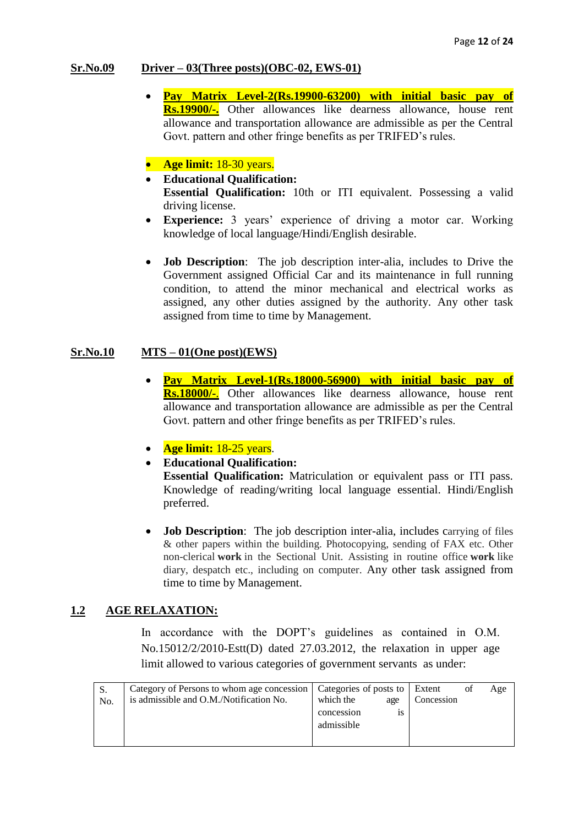# **Sr.No.09 Driver – 03(Three posts)(OBC-02, EWS-01)**

 **Pay Matrix Level-2(Rs.19900-63200) with initial basic pay of Rs.19900/-.** Other allowances like dearness allowance, house rent allowance and transportation allowance are admissible as per the Central Govt. pattern and other fringe benefits as per TRIFED's rules.

# • Age limit: 18-30 years.

- **Educational Qualification: Essential Qualification:** 10th or ITI equivalent. Possessing a valid driving license.
- **Experience:** 3 years' experience of driving a motor car. Working knowledge of local language/Hindi/English desirable.
- **Job Description**: The job description inter-alia, includes to Drive the Government assigned Official Car and its maintenance in full running condition, to attend the minor mechanical and electrical works as assigned, any other duties assigned by the authority. Any other task assigned from time to time by Management.

### **Sr.No.10 MTS – 01(One post)(EWS)**

- **Pay Matrix Level-1(Rs.18000-56900) with initial basic pay of Rs.18000/-**. Other allowances like dearness allowance, house rent allowance and transportation allowance are admissible as per the Central Govt. pattern and other fringe benefits as per TRIFED's rules.
- **Age limit:** 18-25 years.
- **Educational Qualification:**

**Essential Qualification:** Matriculation or equivalent pass or ITI pass. Knowledge of reading/writing local language essential. Hindi/English preferred.

**Job Description:** The job description inter-alia, includes carrying of files & other papers within the building. Photocopying, sending of FAX etc. Other non-clerical **work** in the Sectional Unit. Assisting in routine office **work** like diary, despatch etc., including on computer. Any other task assigned from time to time by Management.

# **1.2 AGE RELAXATION:**

In accordance with the DOPT's guidelines as contained in O.M. No.15012/2/2010-Estt(D) dated 27.03.2012, the relaxation in upper age limit allowed to various categories of government servants as under:

| N <sub>o</sub> | Category of Persons to whom age concession<br>is admissible and O.M./Notification No. | Categories of posts to Extent<br>which the<br>age | Concession | Age |
|----------------|---------------------------------------------------------------------------------------|---------------------------------------------------|------------|-----|
|                |                                                                                       | concession<br>1S<br>admissible                    |            |     |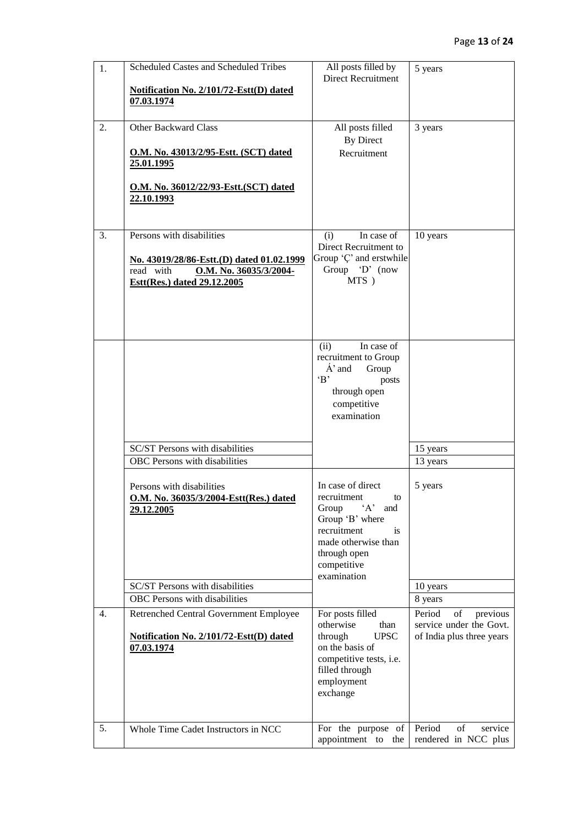| 1. | Scheduled Castes and Scheduled Tribes<br>Notification No. 2/101/72-Estt(D) dated<br>07.03.1974                                               | All posts filled by<br>Direct Recruitment                                                                                                                                  | 5 years                                                                          |
|----|----------------------------------------------------------------------------------------------------------------------------------------------|----------------------------------------------------------------------------------------------------------------------------------------------------------------------------|----------------------------------------------------------------------------------|
| 2. | Other Backward Class<br>O.M. No. 43013/2/95-Estt. (SCT) dated<br>25.01.1995<br>O.M. No. 36012/22/93-Estt. (SCT) dated<br>22.10.1993          | All posts filled<br><b>By Direct</b><br>Recruitment                                                                                                                        | 3 years                                                                          |
| 3. | Persons with disabilities<br>No. 43019/28/86-Estt.(D) dated 01.02.1999<br>read with<br>O.M. No. 36035/3/2004-<br>Estt(Res.) dated 29.12.2005 | In case of<br>(i)<br>Direct Recruitment to<br>Group 'C' and erstwhile<br>Group 'D' (now<br>MTS)                                                                            | 10 years                                                                         |
|    |                                                                                                                                              | In case of<br>(ii)<br>recruitment to Group<br>$\mathbf{A}'$ and<br>Group<br>$\cdot$ B<br>posts<br>through open<br>competitive<br>examination                               |                                                                                  |
|    | SC/ST Persons with disabilities<br>OBC Persons with disabilities                                                                             |                                                                                                                                                                            | 15 years<br>13 years                                                             |
|    | Persons with disabilities<br>O.M. No. 36035/3/2004-Estt(Res.) dated<br>29.12.2005                                                            | In case of direct<br>recruitment<br>to<br>Group<br>$'A'$ and<br>Group 'B' where<br>recruitment<br>is.<br>made otherwise than<br>through open<br>competitive<br>examination | 5 years                                                                          |
|    | SC/ST Persons with disabilities<br>OBC Persons with disabilities                                                                             |                                                                                                                                                                            | 10 years<br>8 years                                                              |
| 4. | Retrenched Central Government Employee<br>Notification No. 2/101/72-Estt(D) dated<br>07.03.1974                                              | For posts filled<br>otherwise<br>than<br><b>UPSC</b><br>through<br>on the basis of<br>competitive tests, i.e.<br>filled through<br>employment<br>exchange                  | Period<br>of<br>previous<br>service under the Govt.<br>of India plus three years |
| 5. | Whole Time Cadet Instructors in NCC                                                                                                          | For the purpose of<br>appointment to the                                                                                                                                   | Period<br>of<br>service<br>rendered in NCC plus                                  |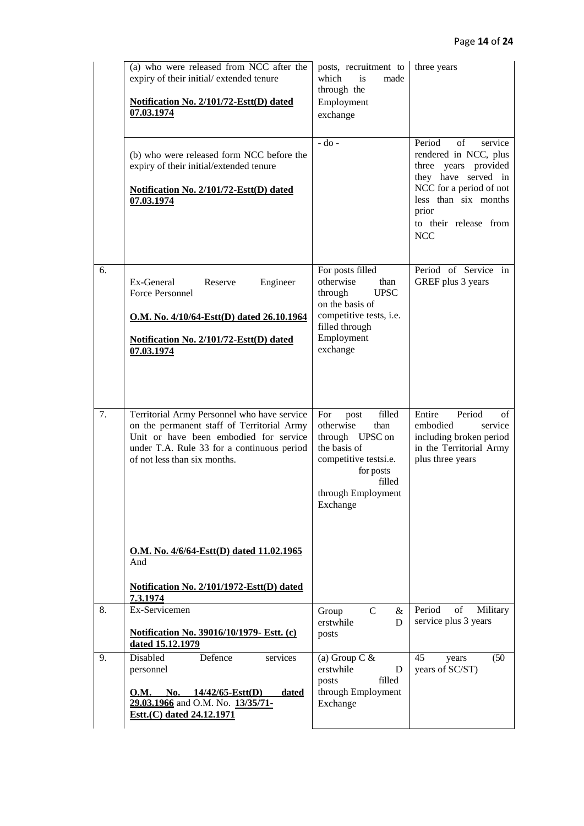|    | (a) who were released from NCC after the<br>expiry of their initial/extended tenure<br><b>Notification No. 2/101/72-Estt(D) dated</b><br>07.03.1974                                                                                                                  | posts, recruitment to<br>which<br>is<br>made<br>through the<br>Employment<br>exchange                                                                           | three years                                                                                                                                                                                        |
|----|----------------------------------------------------------------------------------------------------------------------------------------------------------------------------------------------------------------------------------------------------------------------|-----------------------------------------------------------------------------------------------------------------------------------------------------------------|----------------------------------------------------------------------------------------------------------------------------------------------------------------------------------------------------|
|    | (b) who were released form NCC before the<br>expiry of their initial/extended tenure<br>Notification No. 2/101/72-Estt(D) dated<br>07.03.1974                                                                                                                        | $-do$ -                                                                                                                                                         | Period<br>of<br>service<br>rendered in NCC, plus<br>three years provided<br>they have served in<br>NCC for a period of not<br>less than six months<br>prior<br>to their release from<br><b>NCC</b> |
| 6. | Ex-General<br>Reserve<br>Engineer<br><b>Force Personnel</b><br>O.M. No. 4/10/64-Estt(D) dated 26.10.1964<br>Notification No. 2/101/72-Estt(D) dated<br>07.03.1974                                                                                                    | For posts filled<br>otherwise<br>than<br><b>UPSC</b><br>through<br>on the basis of<br>competitive tests, i.e.<br>filled through<br>Employment<br>exchange       | Period of Service in<br>GREF plus 3 years                                                                                                                                                          |
| 7. | Territorial Army Personnel who have service<br>on the permanent staff of Territorial Army<br>Unit or have been embodied for service<br>under T.A. Rule 33 for a continuous period<br>of not less than six months.<br>O.M. No. 4/6/64-Estt(D) dated 11.02.1965<br>And | filled<br>For<br>post<br>otherwise<br>than<br>through UPSC on<br>the basis of<br>competitive testsi.e.<br>for posts<br>filled<br>through Employment<br>Exchange | Entire<br>Period<br>οf<br>embodied<br>service<br>including broken period<br>in the Territorial Army<br>plus three years                                                                            |
|    | Notification No. 2/101/1972-Estt(D) dated<br>7.3.1974                                                                                                                                                                                                                |                                                                                                                                                                 |                                                                                                                                                                                                    |
| 8. | Ex-Servicemen<br>Notification No. 39016/10/1979- Estt. (c)<br>dated 15.12.1979                                                                                                                                                                                       | $\mathcal{C}$<br>Group<br>$\&$<br>erstwhile<br>D<br>posts                                                                                                       | Period<br>of<br>Military<br>service plus 3 years                                                                                                                                                   |
| 9. | Disabled<br>Defence<br>services<br>personnel<br>O.M. No. $14/42/65$ -Estt(D)<br><u>dated</u><br>29.03.1966 and O.M. No. 13/35/71-<br>Estt.(C) dated 24.12.1971                                                                                                       | (a) Group C $&$<br>erstwhile<br>D<br>filled<br>posts<br>through Employment<br>Exchange                                                                          | 45<br>(50)<br>years<br>years of SC/ST)                                                                                                                                                             |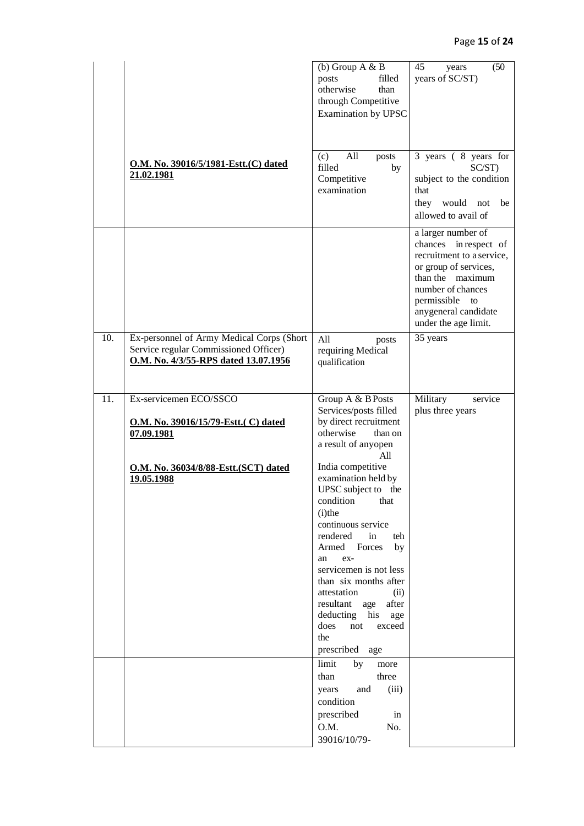|     |                                                                                                                            | (b) Group $A & B$<br>posts<br>filled<br>otherwise<br>than<br>through Competitive<br>Examination by UPSC                                                                                                                                                                                                                                                                                                                                         | (50)<br>45<br>years<br>years of SC/ST)                                                                                                                                                                          |
|-----|----------------------------------------------------------------------------------------------------------------------------|-------------------------------------------------------------------------------------------------------------------------------------------------------------------------------------------------------------------------------------------------------------------------------------------------------------------------------------------------------------------------------------------------------------------------------------------------|-----------------------------------------------------------------------------------------------------------------------------------------------------------------------------------------------------------------|
|     | O.M. No. 39016/5/1981-Estt.(C) dated<br>21.02.1981                                                                         | All<br>(c)<br>posts<br>filled<br>by<br>Competitive<br>examination                                                                                                                                                                                                                                                                                                                                                                               | 3 years (8 years for<br>SC/ST)<br>subject to the condition<br>that<br>they would<br>not<br>be<br>allowed to avail of                                                                                            |
|     |                                                                                                                            |                                                                                                                                                                                                                                                                                                                                                                                                                                                 | a larger number of<br>chances in respect of<br>recruitment to a service,<br>or group of services,<br>than the maximum<br>number of chances<br>permissible<br>to<br>anygeneral candidate<br>under the age limit. |
| 10. | Ex-personnel of Army Medical Corps (Short<br>Service regular Commissioned Officer)<br>O.M. No. 4/3/55-RPS dated 13.07.1956 | All<br>posts<br>requiring Medical<br>qualification                                                                                                                                                                                                                                                                                                                                                                                              | 35 years                                                                                                                                                                                                        |
| 11. | Ex-servicemen ECO/SSCO<br>O.M. No. 39016/15/79-Estt. (C) dated<br>07.09.1981                                               | Group A & B Posts<br>Services/posts filled<br>by direct recruitment<br>otherwise<br>than on<br>a result of anyopen                                                                                                                                                                                                                                                                                                                              | Military<br>service<br>plus three years                                                                                                                                                                         |
|     | O.M. No. 36034/8/88-Estt. (SCT) dated<br>19.05.1988                                                                        | All<br>India competitive<br>examination held by<br>UPSC subject to the<br>condition<br>that<br>$(i)$ the<br>continuous service<br>rendered<br>in<br>teh<br>Armed<br>Forces<br>by<br>ex-<br>an<br>servicemen is not less<br>than six months after<br>attestation<br>(ii)<br>after<br>resultant age<br>deducting his<br>age<br>does<br>not<br>exceed<br>the<br>prescribed<br>age<br>limit<br>by<br>more<br>three<br>than<br>(iii)<br>and<br>years |                                                                                                                                                                                                                 |
|     |                                                                                                                            | condition<br>prescribed<br>in<br>O.M.<br>No.<br>39016/10/79-                                                                                                                                                                                                                                                                                                                                                                                    |                                                                                                                                                                                                                 |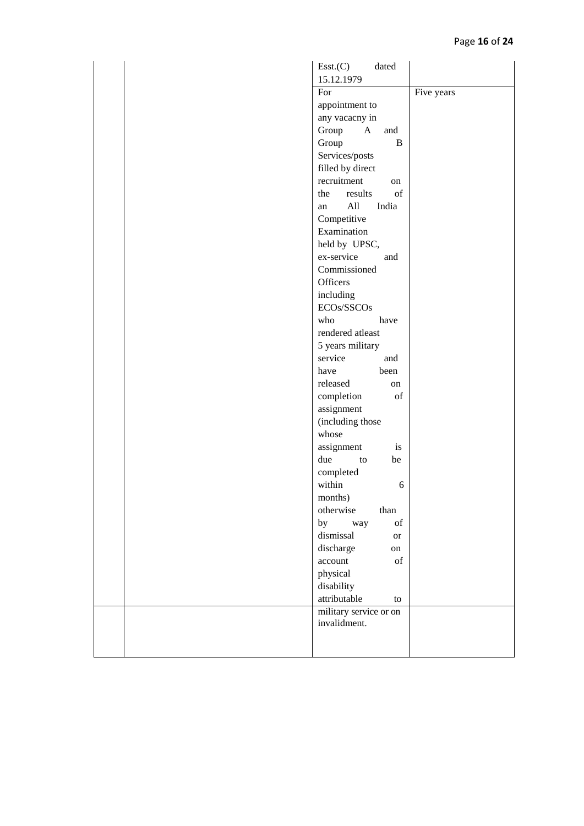| dated<br>Esst.(C)                                                                                               |            |
|-----------------------------------------------------------------------------------------------------------------|------------|
| 15.12.1979                                                                                                      |            |
| For                                                                                                             | Five years |
| appointment to                                                                                                  |            |
| any vacacny in                                                                                                  |            |
| Group<br>$\mathbf{A}$<br>and                                                                                    |            |
| Group<br>$\bf{B}$                                                                                               |            |
| Services/posts                                                                                                  |            |
| filled by direct                                                                                                |            |
| recruitment<br>on                                                                                               |            |
| of<br>results<br>the                                                                                            |            |
| All<br>India<br>an                                                                                              |            |
| Competitive                                                                                                     |            |
| Examination                                                                                                     |            |
| held by UPSC,                                                                                                   |            |
| ex-service<br>and                                                                                               |            |
| Commissioned                                                                                                    |            |
| Officers                                                                                                        |            |
| including                                                                                                       |            |
| ECOs/SSCOs                                                                                                      |            |
| who<br>have                                                                                                     |            |
| rendered atleast                                                                                                |            |
| 5 years military                                                                                                |            |
| service<br>and                                                                                                  |            |
| have<br>been                                                                                                    |            |
| released<br>on                                                                                                  |            |
| completion<br>of                                                                                                |            |
| assignment                                                                                                      |            |
| (including those                                                                                                |            |
| whose                                                                                                           |            |
| assignment<br>is                                                                                                |            |
| due<br>be<br>to                                                                                                 |            |
| completed<br>within<br>6                                                                                        |            |
| months)                                                                                                         |            |
| otherwise<br>than                                                                                               |            |
| by<br>$% \left( \left( \mathcal{A},\mathcal{A}\right) \right) =\left( \mathcal{A},\mathcal{A}\right)$ of<br>way |            |
| dismissal<br><b>or</b>                                                                                          |            |
| discharge<br>on                                                                                                 |            |
| account<br>$% \left( \left( \mathcal{A},\mathcal{A}\right) \right) =\left( \mathcal{A},\mathcal{A}\right)$ of   |            |
| physical                                                                                                        |            |
| disability                                                                                                      |            |
| attributable<br>to                                                                                              |            |
| military service or on                                                                                          |            |
| invalidment.                                                                                                    |            |
|                                                                                                                 |            |
|                                                                                                                 |            |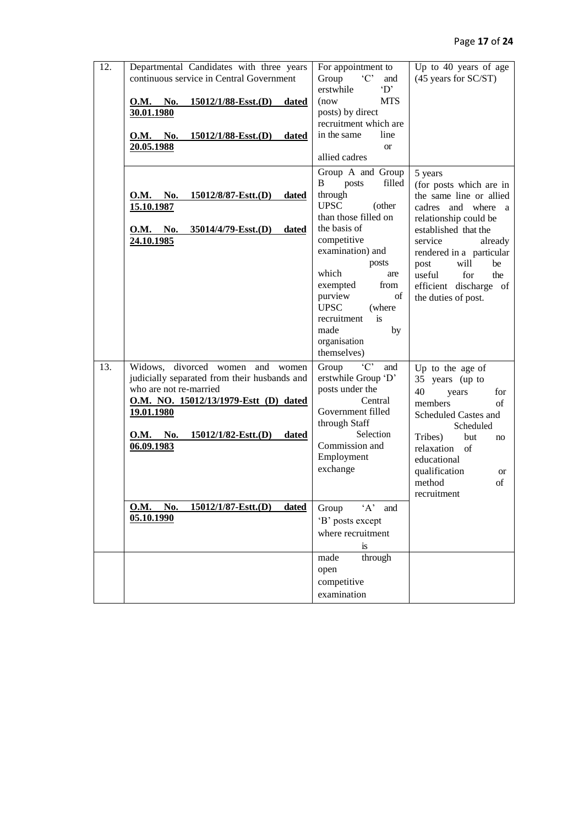| 12. | Departmental Candidates with three years<br>continuous service in Central Government<br><u>O.M. No.</u><br><u>15012/1/88-Esst.(D)</u><br><b>dated</b><br>30.01.1980<br><b>O.M.</b> No.<br>$15012/1/88$ -Esst.(D)<br>dated<br>20.05.1988                                                                                    | For appointment to<br>$\cdot$ C<br>Group<br>and<br>erstwhile<br>'D'<br><b>MTS</b><br>(now)<br>posts) by direct<br>recruitment which are<br>in the same<br>line<br><b>or</b><br>allied cadres                                                                                                                      | Up to 40 years of age<br>(45 years for SC/ST)                                                                                                                                                                                                                                         |
|-----|----------------------------------------------------------------------------------------------------------------------------------------------------------------------------------------------------------------------------------------------------------------------------------------------------------------------------|-------------------------------------------------------------------------------------------------------------------------------------------------------------------------------------------------------------------------------------------------------------------------------------------------------------------|---------------------------------------------------------------------------------------------------------------------------------------------------------------------------------------------------------------------------------------------------------------------------------------|
|     | O.M. No.<br>15012/8/87-Estt.(D)<br>dated<br>15.10.1987<br><u>O.M. No.</u><br>$35014/4/79$ -Esst.(D)<br>dated<br>24.10.1985                                                                                                                                                                                                 | Group A and Group<br>filled<br>posts<br>B<br>through<br><b>UPSC</b><br>(other<br>than those filled on<br>the basis of<br>competitive<br>examination) and<br>posts<br>which<br>are<br>exempted<br>from<br>purview<br>of<br><b>UPSC</b><br>(where<br>recruitment<br>is<br>made<br>by<br>organisation<br>themselves) | 5 years<br>(for posts which are in<br>the same line or allied<br>cadres and where a<br>relationship could be<br>established that the<br>service<br>already<br>rendered in a particular<br>will<br>post<br>be<br>useful<br>for<br>the<br>efficient discharge of<br>the duties of post. |
| 13. | Widows, divorced women and<br>women<br>judicially separated from their husbands and<br>who are not re-married<br>O.M. NO. 15012/13/1979-Estt (D) dated<br><u>19.01.1980</u><br>$15012/1/82$ -Estt.(D)<br><u>O.M. No.</u><br><u>dated</u><br>06.09.1983<br>No.<br>15012/1/87-Estt.(D)<br><b>O.M.</b><br>dated<br>05.10.1990 | $`C`$<br>Group<br>and<br>erstwhile Group 'D'<br>posts under the<br>Central<br>Government filled<br>through Staff<br>Selection<br>Commission and<br>Employment<br>exchange<br>$\Delta$<br>Group<br>and<br>'B' posts except<br>where recruitment                                                                    | Up to the age of<br>35 years (up to<br>40<br>years<br>for<br>members<br>of<br>Scheduled Castes and<br>Scheduled<br>Tribes)<br>but<br>no<br>relaxation<br>of<br>educational<br>qualification<br><b>or</b><br>method<br>of<br>recruitment                                               |
|     |                                                                                                                                                                                                                                                                                                                            | is<br>through<br>made<br>open<br>competitive<br>examination                                                                                                                                                                                                                                                       |                                                                                                                                                                                                                                                                                       |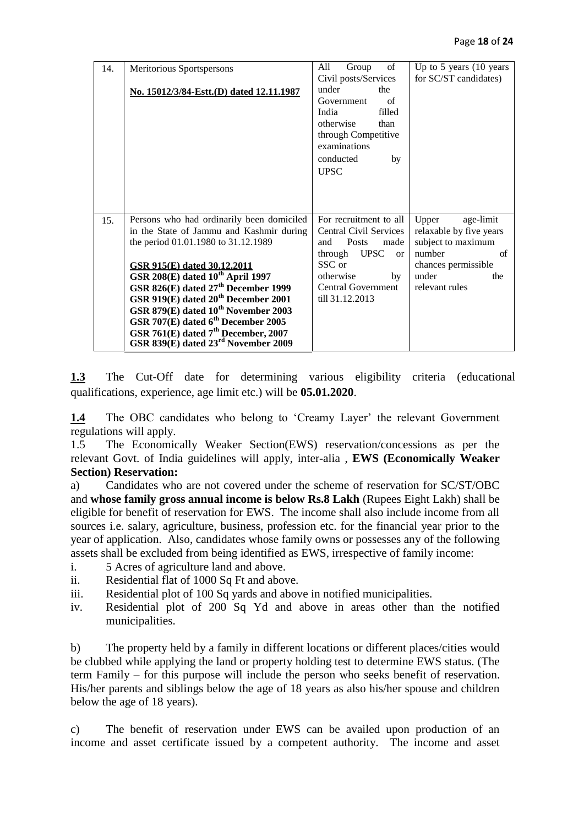| 14. | Meritorious Sportspersons                       | of<br>All<br>Group            | Up to $5$ years $(10$ years |
|-----|-------------------------------------------------|-------------------------------|-----------------------------|
|     |                                                 | Civil posts/Services          | for SC/ST candidates)       |
|     | No. 15012/3/84-Estt.(D) dated 12.11.1987        | under<br>the                  |                             |
|     |                                                 | of<br>Government              |                             |
|     |                                                 | filled<br>India               |                             |
|     |                                                 | otherwise<br>than             |                             |
|     |                                                 | through Competitive           |                             |
|     |                                                 | examinations                  |                             |
|     |                                                 | conducted<br>by               |                             |
|     |                                                 | <b>UPSC</b>                   |                             |
|     |                                                 |                               |                             |
|     |                                                 |                               |                             |
|     |                                                 |                               |                             |
| 15. | Persons who had ordinarily been domiciled       | For recruitment to all        | age-limit<br>Upper          |
|     | in the State of Jammu and Kashmir during        | Central Civil Services        | relaxable by five years     |
|     | the period 01.01.1980 to 31.12.1989             | <b>Posts</b><br>and<br>made   | subject to maximum          |
|     |                                                 | through UPSC<br><sub>or</sub> | number<br>of                |
|     | <b>GSR 915(E)</b> dated 30.12.2011              | SSC or                        | chances permissible         |
|     | GSR 208(E) dated $10^{th}$ April 1997           | otherwise<br>by               | under<br>the                |
|     | GSR 826(E) dated 27 <sup>th</sup> December 1999 | <b>Central Government</b>     | relevant rules              |
|     | GSR 919(E) dated 20 <sup>th</sup> December 2001 | till 31.12.2013               |                             |
|     | GSR 879(E) dated 10 <sup>th</sup> November 2003 |                               |                             |
|     | GSR 707(E) dated 6 <sup>th</sup> December 2005  |                               |                             |
|     | GSR 761(E) dated 7 <sup>th</sup> December, 2007 |                               |                             |
|     | GSR 839(E) dated 23rd November 2009             |                               |                             |

**1.3** The Cut-Off date for determining various eligibility criteria (educational qualifications, experience, age limit etc.) will be **05.01.2020**.

**1.4** The OBC candidates who belong to 'Creamy Layer' the relevant Government regulations will apply.

1.5 The Economically Weaker Section(EWS) reservation/concessions as per the relevant Govt. of India guidelines will apply, inter-alia , **EWS (Economically Weaker Section) Reservation:**

a) Candidates who are not covered under the scheme of reservation for SC/ST/OBC and **whose family gross annual income is below Rs.8 Lakh** (Rupees Eight Lakh) shall be eligible for benefit of reservation for EWS. The income shall also include income from all sources i.e. salary, agriculture, business, profession etc. for the financial year prior to the year of application. Also, candidates whose family owns or possesses any of the following assets shall be excluded from being identified as EWS, irrespective of family income:

- i. 5 Acres of agriculture land and above.
- ii. Residential flat of 1000 Sq Ft and above.
- iii. Residential plot of 100 Sq yards and above in notified municipalities.
- iv. Residential plot of 200 Sq Yd and above in areas other than the notified municipalities.

b) The property held by a family in different locations or different places/cities would be clubbed while applying the land or property holding test to determine EWS status. (The term Family – for this purpose will include the person who seeks benefit of reservation. His/her parents and siblings below the age of 18 years as also his/her spouse and children below the age of 18 years).

c) The benefit of reservation under EWS can be availed upon production of an income and asset certificate issued by a competent authority. The income and asset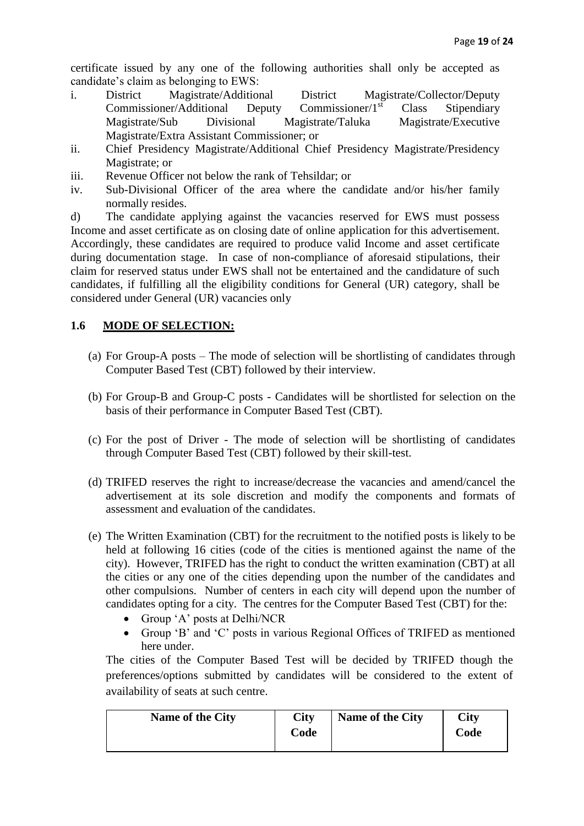certificate issued by any one of the following authorities shall only be accepted as candidate's claim as belonging to EWS:

- i. District Magistrate/Additional District Magistrate/Collector/Deputy Commissioner/Additional Deputy Commissioner/1<sup>st</sup> Class Stipendiary Magistrate/Sub Divisional Magistrate/Taluka Magistrate/Executive Magistrate/Extra Assistant Commissioner; or
- ii. Chief Presidency Magistrate/Additional Chief Presidency Magistrate/Presidency Magistrate; or
- iii. Revenue Officer not below the rank of Tehsildar; or
- iv. Sub-Divisional Officer of the area where the candidate and/or his/her family normally resides.

d) The candidate applying against the vacancies reserved for EWS must possess Income and asset certificate as on closing date of online application for this advertisement. Accordingly, these candidates are required to produce valid Income and asset certificate during documentation stage. In case of non-compliance of aforesaid stipulations, their claim for reserved status under EWS shall not be entertained and the candidature of such candidates, if fulfilling all the eligibility conditions for General (UR) category, shall be considered under General (UR) vacancies only

# **1.6 MODE OF SELECTION:**

- (a) For Group-A posts The mode of selection will be shortlisting of candidates through Computer Based Test (CBT) followed by their interview.
- (b) For Group-B and Group-C posts Candidates will be shortlisted for selection on the basis of their performance in Computer Based Test (CBT).
- (c) For the post of Driver The mode of selection will be shortlisting of candidates through Computer Based Test (CBT) followed by their skill-test.
- (d) TRIFED reserves the right to increase/decrease the vacancies and amend/cancel the advertisement at its sole discretion and modify the components and formats of assessment and evaluation of the candidates.
- (e) The Written Examination (CBT) for the recruitment to the notified posts is likely to be held at following 16 cities (code of the cities is mentioned against the name of the city). However, TRIFED has the right to conduct the written examination (CBT) at all the cities or any one of the cities depending upon the number of the candidates and other compulsions. Number of centers in each city will depend upon the number of candidates opting for a city. The centres for the Computer Based Test (CBT) for the:
	- Group 'A' posts at Delhi/NCR
	- Group 'B' and 'C' posts in various Regional Offices of TRIFED as mentioned here under.

The cities of the Computer Based Test will be decided by TRIFED though the preferences/options submitted by candidates will be considered to the extent of availability of seats at such centre.

| Name of the City | City<br>Code | Name of the City | City<br>Code |
|------------------|--------------|------------------|--------------|
|                  |              |                  |              |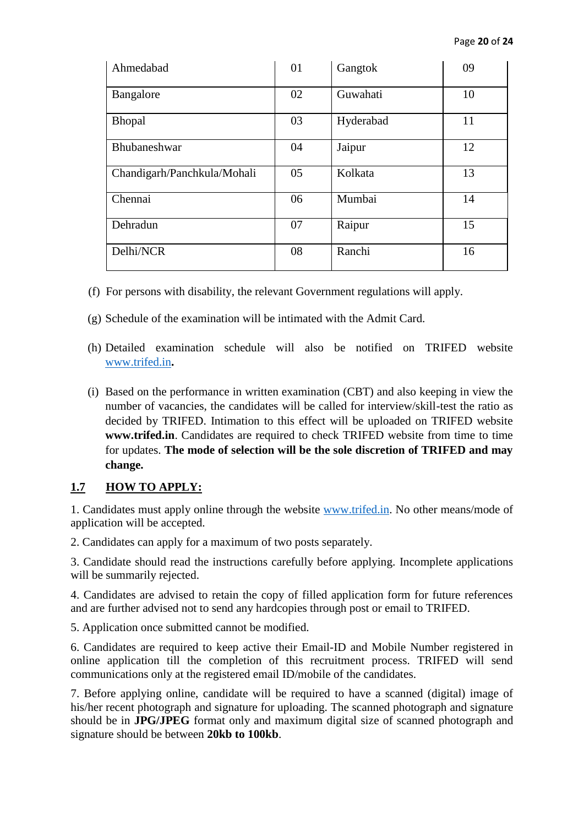| Ahmedabad                   | 01 | Gangtok   | 09 |
|-----------------------------|----|-----------|----|
| Bangalore                   | 02 | Guwahati  | 10 |
| <b>Bhopal</b>               | 03 | Hyderabad | 11 |
| Bhubaneshwar                | 04 | Jaipur    | 12 |
| Chandigarh/Panchkula/Mohali | 05 | Kolkata   | 13 |
| Chennai                     | 06 | Mumbai    | 14 |
| Dehradun                    | 07 | Raipur    | 15 |
| Delhi/NCR                   | 08 | Ranchi    | 16 |

- (f) For persons with disability, the relevant Government regulations will apply.
- (g) Schedule of the examination will be intimated with the Admit Card.
- (h) Detailed examination schedule will also be notified on TRIFED website [www.trifed.in](http://www.trifed.in/)**.**
- (i) Based on the performance in written examination (CBT) and also keeping in view the number of vacancies, the candidates will be called for interview/skill-test the ratio as decided by TRIFED. Intimation to this effect will be uploaded on TRIFED website **www.trifed.in**. Candidates are required to check TRIFED website from time to time for updates. **The mode of selection will be the sole discretion of TRIFED and may change.**

# **1.7 HOW TO APPLY:**

1. Candidates must apply online through the website www.trifed.in. No other means/mode of application will be accepted.

2. Candidates can apply for a maximum of two posts separately.

3. Candidate should read the instructions carefully before applying. Incomplete applications will be summarily rejected.

4. Candidates are advised to retain the copy of filled application form for future references and are further advised not to send any hardcopies through post or email to TRIFED.

5. Application once submitted cannot be modified.

6. Candidates are required to keep active their Email-ID and Mobile Number registered in online application till the completion of this recruitment process. TRIFED will send communications only at the registered email ID/mobile of the candidates.

7. Before applying online, candidate will be required to have a scanned (digital) image of his/her recent photograph and signature for uploading. The scanned photograph and signature should be in **JPG/JPEG** format only and maximum digital size of scanned photograph and signature should be between **20kb to 100kb**.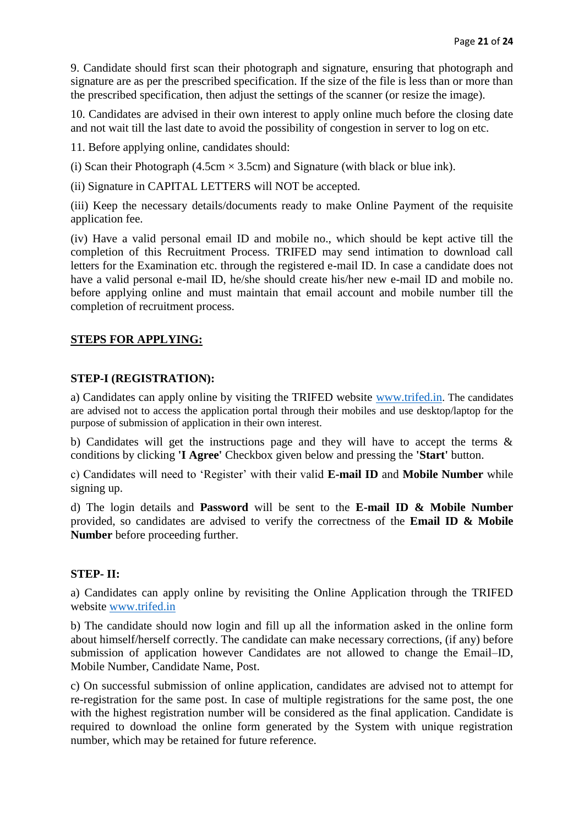9. Candidate should first scan their photograph and signature, ensuring that photograph and signature are as per the prescribed specification. If the size of the file is less than or more than the prescribed specification, then adjust the settings of the scanner (or resize the image).

10. Candidates are advised in their own interest to apply online much before the closing date and not wait till the last date to avoid the possibility of congestion in server to log on etc.

11. Before applying online, candidates should:

(i) Scan their Photograph (4.5cm  $\times$  3.5cm) and Signature (with black or blue ink).

(ii) Signature in CAPITAL LETTERS will NOT be accepted.

(iii) Keep the necessary details/documents ready to make Online Payment of the requisite application fee.

(iv) Have a valid personal email ID and mobile no., which should be kept active till the completion of this Recruitment Process. TRIFED may send intimation to download call letters for the Examination etc. through the registered e-mail ID. In case a candidate does not have a valid personal e-mail ID, he/she should create his/her new e-mail ID and mobile no. before applying online and must maintain that email account and mobile number till the completion of recruitment process.

#### **STEPS FOR APPLYING:**

#### **STEP-I (REGISTRATION):**

a) Candidates can apply online by visiting the TRIFED website [www.trifed.in](http://www.trifed.in/). The candidates are advised not to access the application portal through their mobiles and use desktop/laptop for the purpose of submission of application in their own interest.

b) Candidates will get the instructions page and they will have to accept the terms & conditions by clicking **'I Agree'** Checkbox given below and pressing the **'Start'** button.

c) Candidates will need to 'Register' with their valid **E-mail ID** and **Mobile Number** while signing up.

d) The login details and **Password** will be sent to the **E-mail ID & Mobile Number**  provided, so candidates are advised to verify the correctness of the **Email ID & Mobile Number** before proceeding further.

### **STEP- II:**

a) Candidates can apply online by revisiting the Online Application through the TRIFED website [www.trifed.in](http://www.trifed.in/)

b) The candidate should now login and fill up all the information asked in the online form about himself/herself correctly. The candidate can make necessary corrections, (if any) before submission of application however Candidates are not allowed to change the Email–ID, Mobile Number, Candidate Name, Post.

c) On successful submission of online application, candidates are advised not to attempt for re-registration for the same post. In case of multiple registrations for the same post, the one with the highest registration number will be considered as the final application. Candidate is required to download the online form generated by the System with unique registration number, which may be retained for future reference.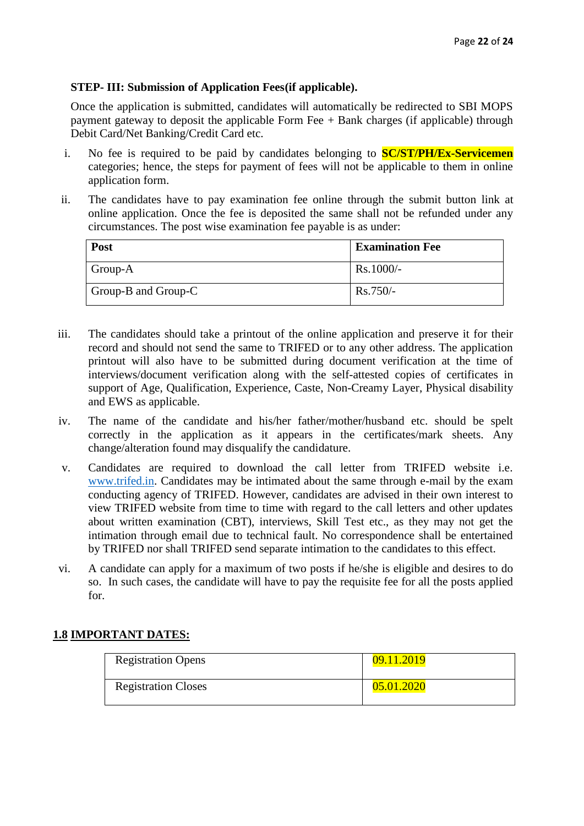# **STEP- III: Submission of Application Fees(if applicable).**

Once the application is submitted, candidates will automatically be redirected to SBI MOPS payment gateway to deposit the applicable Form Fee  $+$  Bank charges (if applicable) through Debit Card/Net Banking/Credit Card etc.

- i. No fee is required to be paid by candidates belonging to **SC/ST/PH/Ex-Servicemen** categories; hence, the steps for payment of fees will not be applicable to them in online application form.
- ii. The candidates have to pay examination fee online through the submit button link at online application. Once the fee is deposited the same shall not be refunded under any circumstances. The post wise examination fee payable is as under:

| Post                | <b>Examination Fee</b> |
|---------------------|------------------------|
| Group-A             | $Rs.1000/-$            |
| Group-B and Group-C | $Rs.750/-$             |

- iii. The candidates should take a printout of the online application and preserve it for their record and should not send the same to TRIFED or to any other address. The application printout will also have to be submitted during document verification at the time of interviews/document verification along with the self-attested copies of certificates in support of Age, Qualification, Experience, Caste, Non-Creamy Layer, Physical disability and EWS as applicable.
- iv. The name of the candidate and his/her father/mother/husband etc. should be spelt correctly in the application as it appears in the certificates/mark sheets. Any change/alteration found may disqualify the candidature.
- v. Candidates are required to download the call letter from TRIFED website i.e. [www.trifed.in.](http://www.trifed.in/) Candidates may be intimated about the same through e-mail by the exam conducting agency of TRIFED. However, candidates are advised in their own interest to view TRIFED website from time to time with regard to the call letters and other updates about written examination (CBT), interviews, Skill Test etc., as they may not get the intimation through email due to technical fault. No correspondence shall be entertained by TRIFED nor shall TRIFED send separate intimation to the candidates to this effect.
- vi. A candidate can apply for a maximum of two posts if he/she is eligible and desires to do so. In such cases, the candidate will have to pay the requisite fee for all the posts applied for.

# **1.8 IMPORTANT DATES:**

| <b>Registration Opens</b>  | 09.11.2019 |
|----------------------------|------------|
| <b>Registration Closes</b> | 05.01.2020 |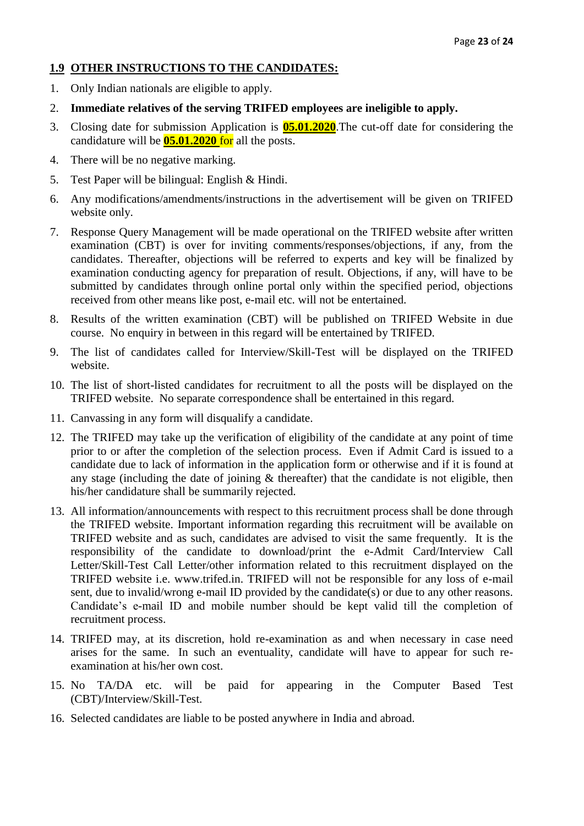# **1.9 OTHER INSTRUCTIONS TO THE CANDIDATES:**

- 1. Only Indian nationals are eligible to apply.
- 2. **Immediate relatives of the serving TRIFED employees are ineligible to apply.**
- 3. Closing date for submission Application is **05.01.2020**.The cut-off date for considering the candidature will be **05.01.2020** for all the posts.
- 4. There will be no negative marking.
- 5. Test Paper will be bilingual: English & Hindi.
- 6. Any modifications/amendments/instructions in the advertisement will be given on TRIFED website only.
- 7. Response Query Management will be made operational on the TRIFED website after written examination (CBT) is over for inviting comments/responses/objections, if any, from the candidates. Thereafter, objections will be referred to experts and key will be finalized by examination conducting agency for preparation of result. Objections, if any, will have to be submitted by candidates through online portal only within the specified period, objections received from other means like post, e-mail etc. will not be entertained.
- 8. Results of the written examination (CBT) will be published on TRIFED Website in due course. No enquiry in between in this regard will be entertained by TRIFED.
- 9. The list of candidates called for Interview/Skill-Test will be displayed on the TRIFED website.
- 10. The list of short-listed candidates for recruitment to all the posts will be displayed on the TRIFED website. No separate correspondence shall be entertained in this regard.
- 11. Canvassing in any form will disqualify a candidate.
- 12. The TRIFED may take up the verification of eligibility of the candidate at any point of time prior to or after the completion of the selection process. Even if Admit Card is issued to a candidate due to lack of information in the application form or otherwise and if it is found at any stage (including the date of joining  $\&$  thereafter) that the candidate is not eligible, then his/her candidature shall be summarily rejected.
- 13. All information/announcements with respect to this recruitment process shall be done through the TRIFED website. Important information regarding this recruitment will be available on TRIFED website and as such, candidates are advised to visit the same frequently. It is the responsibility of the candidate to download/print the e-Admit Card/Interview Call Letter/Skill-Test Call Letter/other information related to this recruitment displayed on the TRIFED website i.e. www.trifed.in. TRIFED will not be responsible for any loss of e-mail sent, due to invalid/wrong e-mail ID provided by the candidate(s) or due to any other reasons. Candidate's e-mail ID and mobile number should be kept valid till the completion of recruitment process.
- 14. TRIFED may, at its discretion, hold re-examination as and when necessary in case need arises for the same. In such an eventuality, candidate will have to appear for such reexamination at his/her own cost.
- 15. No TA/DA etc. will be paid for appearing in the Computer Based Test (CBT)/Interview/Skill-Test.
- 16. Selected candidates are liable to be posted anywhere in India and abroad.